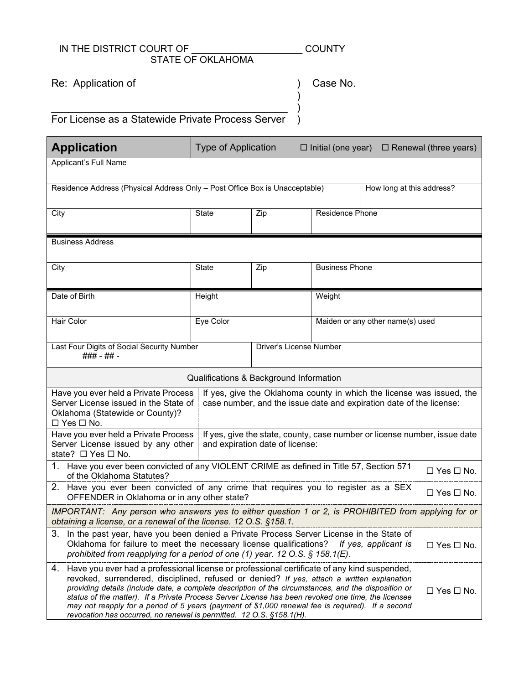## IN THE DISTRICT COURT OF THE COUNTY STATE OF OKLAHOMA

) ) )

Re: Application of

Case No.

\_\_\_\_\_\_\_\_\_\_\_\_\_\_\_\_\_\_\_\_\_\_\_\_\_\_\_\_\_\_\_\_\_\_\_\_\_\_\_\_\_ For License as a Statewide Private Process Server )

| <b>Application</b>                                                                                                                                                                                                                                                                                                                                                                                                                                                                                                                                                                                               | <b>Type of Application</b><br>$\Box$ Initial (one year)<br>$\Box$ Renewal (three years)                                                      |                         |                       |                                  |  |  |
|------------------------------------------------------------------------------------------------------------------------------------------------------------------------------------------------------------------------------------------------------------------------------------------------------------------------------------------------------------------------------------------------------------------------------------------------------------------------------------------------------------------------------------------------------------------------------------------------------------------|----------------------------------------------------------------------------------------------------------------------------------------------|-------------------------|-----------------------|----------------------------------|--|--|
| Applicant's Full Name                                                                                                                                                                                                                                                                                                                                                                                                                                                                                                                                                                                            |                                                                                                                                              |                         |                       |                                  |  |  |
| Residence Address (Physical Address Only - Post Office Box is Unacceptable)<br>How long at this address?                                                                                                                                                                                                                                                                                                                                                                                                                                                                                                         |                                                                                                                                              |                         |                       |                                  |  |  |
| City                                                                                                                                                                                                                                                                                                                                                                                                                                                                                                                                                                                                             | State                                                                                                                                        | Zip                     | Residence Phone       |                                  |  |  |
| <b>Business Address</b>                                                                                                                                                                                                                                                                                                                                                                                                                                                                                                                                                                                          |                                                                                                                                              |                         |                       |                                  |  |  |
| City                                                                                                                                                                                                                                                                                                                                                                                                                                                                                                                                                                                                             | State                                                                                                                                        | Zip                     | <b>Business Phone</b> |                                  |  |  |
| Date of Birth                                                                                                                                                                                                                                                                                                                                                                                                                                                                                                                                                                                                    | Height                                                                                                                                       |                         |                       | Weight                           |  |  |
| Hair Color                                                                                                                                                                                                                                                                                                                                                                                                                                                                                                                                                                                                       | Eye Color                                                                                                                                    |                         |                       | Maiden or any other name(s) used |  |  |
| Last Four Digits of Social Security Number<br>### - ## -                                                                                                                                                                                                                                                                                                                                                                                                                                                                                                                                                         |                                                                                                                                              | Driver's License Number |                       |                                  |  |  |
| Qualifications & Background Information                                                                                                                                                                                                                                                                                                                                                                                                                                                                                                                                                                          |                                                                                                                                              |                         |                       |                                  |  |  |
| Have you ever held a Private Process<br>Server License issued in the State of<br>Oklahoma (Statewide or County)?<br>$\Box$ Yes $\Box$ No.                                                                                                                                                                                                                                                                                                                                                                                                                                                                        | If yes, give the Oklahoma county in which the license was issued, the<br>case number, and the issue date and expiration date of the license: |                         |                       |                                  |  |  |
| Have you ever held a Private Process<br>Server License issued by any other<br>state? $\Box$ Yes $\Box$ No.                                                                                                                                                                                                                                                                                                                                                                                                                                                                                                       | If yes, give the state, county, case number or license number, issue date<br>and expiration date of license:                                 |                         |                       |                                  |  |  |
| 1.<br>Have you ever been convicted of any VIOLENT CRIME as defined in Title 57, Section 571<br>$\Box$ Yes $\Box$ No.<br>of the Oklahoma Statutes?                                                                                                                                                                                                                                                                                                                                                                                                                                                                |                                                                                                                                              |                         |                       |                                  |  |  |
| 2. Have you ever been convicted of any crime that requires you to register as a SEX<br>$\Box$ Yes $\Box$ No.<br>OFFENDER in Oklahoma or in any other state?                                                                                                                                                                                                                                                                                                                                                                                                                                                      |                                                                                                                                              |                         |                       |                                  |  |  |
| IMPORTANT: Any person who answers yes to either question 1 or 2, is PROHIBITED from applying for or<br>obtaining a license, or a renewal of the license. 12 O.S. §158.1.                                                                                                                                                                                                                                                                                                                                                                                                                                         |                                                                                                                                              |                         |                       |                                  |  |  |
| 3.<br>In the past year, have you been denied a Private Process Server License in the State of<br>Oklahoma for failure to meet the necessary license qualifications?<br>If yes, applicant is<br>$\Box$ Yes $\Box$ No.<br>prohibited from reapplying for a period of one (1) year. 12 O.S. § 158.1(E).                                                                                                                                                                                                                                                                                                             |                                                                                                                                              |                         |                       |                                  |  |  |
| 4. Have you ever had a professional license or professional certificate of any kind suspended,<br>revoked, surrendered, disciplined, refused or denied? If yes, attach a written explanation<br>providing details (include date, a complete description of the circumstances, and the disposition or<br>$\Box$ Yes $\Box$ No.<br>status of the matter). If a Private Process Server License has been revoked one time, the licensee<br>may not reapply for a period of 5 years (payment of \$1,000 renewal fee is required). If a second<br>revocation has occurred, no renewal is permitted. 12 O.S. §158.1(H). |                                                                                                                                              |                         |                       |                                  |  |  |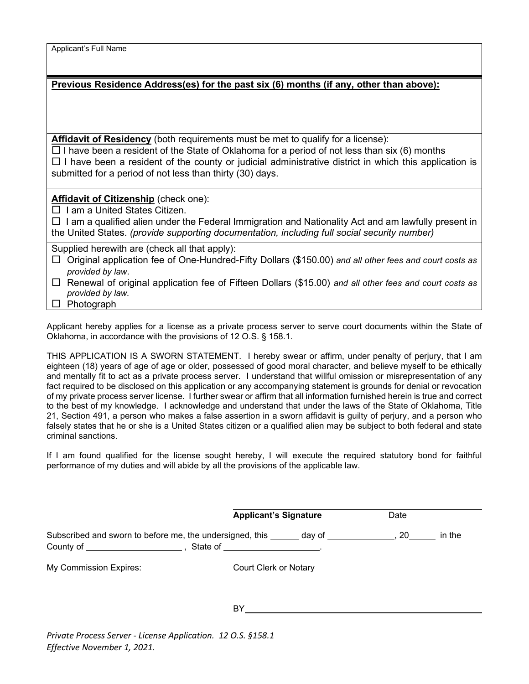| Applicant's Full Name |  |  |
|-----------------------|--|--|
|-----------------------|--|--|

| Previous Residence Address(es) for the past six (6) months (if any, other than above): |  |  |  |
|----------------------------------------------------------------------------------------|--|--|--|
|                                                                                        |  |  |  |

**Affidavit of Residency** (both requirements must be met to qualify for a license):

 $\Box$  I have been a resident of the State of Oklahoma for a period of not less than six (6) months  $\Box$  I have been a resident of the county or judicial administrative district in which this application is submitted for a period of not less than thirty (30) days.

**Affidavit of Citizenship** (check one):

 $\Box$  I am a United States Citizen.

 $\Box$  I am a qualified alien under the Federal Immigration and Nationality Act and am lawfully present in the United States. *(provide supporting documentation, including full social security number)*

Supplied herewith are (check all that apply):

 Original application fee of One-Hundred-Fifty Dollars (\$150.00) *and all other fees and court costs as provided by law*.

 Renewal of original application fee of Fifteen Dollars (\$15.00) *and all other fees and court costs as provided by law.*

 $\Box$  Photograph

Applicant hereby applies for a license as a private process server to serve court documents within the State of Oklahoma, in accordance with the provisions of 12 O.S. § 158.1.

THIS APPLICATION IS A SWORN STATEMENT. I hereby swear or affirm, under penalty of perjury, that I am eighteen (18) years of age of age or older, possessed of good moral character, and believe myself to be ethically and mentally fit to act as a private process server. I understand that willful omission or misrepresentation of any fact required to be disclosed on this application or any accompanying statement is grounds for denial or revocation of my private process server license. I further swear or affirm that all information furnished herein is true and correct to the best of my knowledge. I acknowledge and understand that under the laws of the State of Oklahoma, Title 21, Section 491, a person who makes a false assertion in a sworn affidavit is guilty of perjury, and a person who falsely states that he or she is a United States citizen or a qualified alien may be subject to both federal and state criminal sanctions.

If I am found qualified for the license sought hereby, I will execute the required statutory bond for faithful performance of my duties and will abide by all the provisions of the applicable law.

|                                                                 | <b>Applicant's Signature</b> | Date         |
|-----------------------------------------------------------------|------------------------------|--------------|
| Subscribed and sworn to before me, the undersigned, this day of |                              | 20<br>in the |
| My Commission Expires:                                          | Court Clerk or Notary        |              |
|                                                                 | BY.                          |              |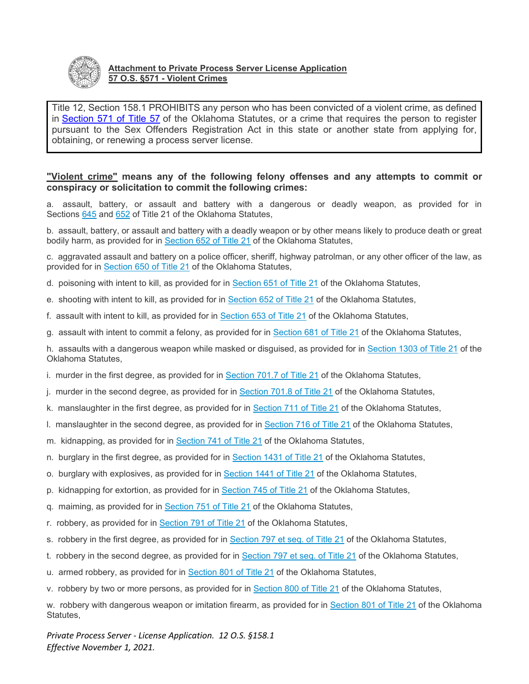

## **Attachment to Private Process Server License Application 57 O.S. §571 - Violent Crimes**

Title 12, Section 158.1 PROHIBITS any person who has been convicted of a violent crime, as defined in [Section 571 of Title 57](http://www.oscn.net/applications/oscn/DeliverDocument.asp?CiteID=84006) of the Oklahoma Statutes, or a crime that requires the person to register pursuant to the Sex Offenders Registration Act in this state or another state from applying for, obtaining, or renewing a process server license.

## **"Violent crime" means any of the following felony offenses and any attempts to commit or conspiracy or solicitation to commit the following crimes:**

a. assault, battery, or assault and battery with a dangerous or deadly weapon, as provided for in Sections [645](http://www.oscn.net/applications/oscn/DeliverDocument.asp?citeid=69269) and [652](http://www.oscn.net/applications/oscn/DeliverDocument.asp?citeid=69287) of Title 21 of the Oklahoma Statutes,

b. assault, battery, or assault and battery with a deadly weapon or by other means likely to produce death or great bodily harm, as provided for in [Section 652 of Title 21](http://www.oscn.net/applications/oscn/DeliverDocument.asp?citeid=69287) of the Oklahoma Statutes,

c. aggravated assault and battery on a police officer, sheriff, highway patrolman, or any other officer of the law, as provided for in [Section 650 of Title 21](http://www.oscn.net/applications/oscn/DeliverDocument.asp?citeid=69276) of the Oklahoma Statutes,

- d. poisoning with intent to kill, as provided for in [Section 651 of Title 21](http://www.oscn.net/applications/oscn/DeliverDocument.asp?citeid=69286) of the Oklahoma Statutes,
- e. shooting with intent to kill, as provided for in [Section 652 of Title 21](http://www.oscn.net/applications/oscn/DeliverDocument.asp?citeid=69287) of the Oklahoma Statutes,
- f. assault with intent to kill, as provided for in [Section 653 of Title 21](http://www.oscn.net/applications/oscn/DeliverDocument.asp?citeid=69288) of the Oklahoma Statutes,
- g. assault with intent to commit a felony, as provided for in [Section 681 of Title 21](http://www.oscn.net/applications/oscn/DeliverDocument.asp?citeid=69291) of the Oklahoma Statutes,

h. assaults with a dangerous weapon while masked or disguised, as provided for in [Section 1303 of Title 21](http://www.oscn.net/applications/oscn/DeliverDocument.asp?citeid=69812) of the Oklahoma Statutes,

i. murder in the first degree, as provided for in [Section 701.7 of Title 21](http://www.oscn.net/applications/oscn/DeliverDocument.asp?citeid=69297) of the Oklahoma Statutes,

j. murder in the second degree, as provided for in [Section 701.8 of Title 21](http://www.oscn.net/applications/oscn/DeliverDocument.asp?citeid=69298) of the Oklahoma Statutes,

- k. manslaughter in the first degree, as provided for in [Section 711 of Title 21](http://www.oscn.net/applications/oscn/DeliverDocument.asp?citeid=69314) of the Oklahoma Statutes,
- l. manslaughter in the second degree, as provided for in [Section 716 of Title 21](http://www.oscn.net/applications/oscn/DeliverDocument.asp?citeid=69319) of the Oklahoma Statutes,
- m. kidnapping, as provided for in [Section 741 of Title 21](http://www.oscn.net/applications/oscn/DeliverDocument.asp?citeid=440116) of the Oklahoma Statutes,
- n. burglary in the first degree, as provided for in [Section 1431 of Title 21](http://www.oscn.net/applications/oscn/DeliverDocument.asp?citeid=69878) of the Oklahoma Statutes,
- o. burglary with explosives, as provided for in [Section 1441 of Title 21](http://www.oscn.net/applications/oscn/DeliverDocument.asp?citeid=69885) of the Oklahoma Statutes,
- p. kidnapping for extortion, as provided for in [Section 745 of Title 21](http://www.oscn.net/applications/oscn/DeliverDocument.asp?citeid=69326) of the Oklahoma Statutes,
- q. maiming, as provided for in [Section 751 of Title 21](http://www.oscn.net/applications/oscn/DeliverDocument.asp?citeid=69329) of the Oklahoma Statutes,
- r. robbery, as provided for in [Section 791 of Title 21](http://www.oscn.net/applications/oscn/DeliverDocument.asp?citeid=69347) of the Oklahoma Statutes,
- s. robbery in the first degree, as provided for in [Section 797 et seq. of Title 21](http://www.oscn.net/applications/oscn/DeliverDocument.asp?citeid=69353) of the Oklahoma Statutes,
- t. robbery in the second degree, as provided for in [Section 797 et seq. of Title 21](http://www.oscn.net/applications/oscn/DeliverDocument.asp?citeid=69353) of the Oklahoma Statutes,
- u. armed robbery, as provided for in [Section 801 of Title 21](http://www.oscn.net/applications/oscn/DeliverDocument.asp?citeid=69357) of the Oklahoma Statutes,
- v. robbery by two or more persons, as provided for in [Section 800 of Title 21](http://www.oscn.net/applications/oscn/DeliverDocument.asp?citeid=69356) of the Oklahoma Statutes,

w. robbery with dangerous weapon or imitation firearm, as provided for in [Section 801 of Title 21](http://www.oscn.net/applications/oscn/DeliverDocument.asp?citeid=69357) of the Oklahoma Statutes,

*Private Process Server - License Application. 12 O.S. §158.1 Effective November 1, 2021.*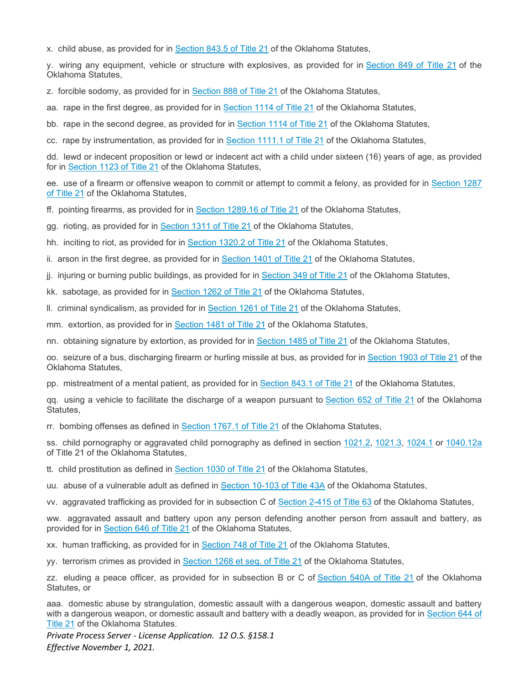x. child abuse, as provided for in [Section 843.5 of Title 21](http://www.oscn.net/applications/oscn/DeliverDocument.asp?citeid=455672) of the Oklahoma Statutes,

y. wiring any equipment, vehicle or structure with explosives, as provided for in [Section 849 of Title 21](http://www.oscn.net/applications/oscn/DeliverDocument.asp?citeid=69386) of the Oklahoma Statutes,

z. forcible sodomy, as provided for in [Section 888 of Title 21](http://www.oscn.net/applications/oscn/DeliverDocument.asp?citeid=69419) of the Oklahoma Statutes,

aa. rape in the first degree, as provided for in [Section 1114 of Title 21](http://www.oscn.net/applications/oscn/DeliverDocument.asp?citeid=69606) of the Oklahoma Statutes,

bb. rape in the second degree, as provided for in [Section 1114 of Title 21](http://www.oscn.net/applications/oscn/DeliverDocument.asp?citeid=69606) of the Oklahoma Statutes,

cc. rape by instrumentation, as provided for in [Section 1111.1 of Title 21](http://www.oscn.net/applications/oscn/DeliverDocument.asp?citeid=69603) of the Oklahoma Statutes,

dd. lewd or indecent proposition or lewd or indecent act with a child under sixteen (16) years of age, as provided for in [Section 1123 of Title 21](http://www.oscn.net/applications/oscn/DeliverDocument.asp?citeid=69615) of the Oklahoma Statutes,

ee. use of a firearm or offensive weapon to commit or attempt to commit a felony, as provided for in [Section 1287](http://www.oscn.net/applications/oscn/DeliverDocument.asp?citeid=69755)  [of Title 21](http://www.oscn.net/applications/oscn/DeliverDocument.asp?citeid=69755) of the Oklahoma Statutes,

ff. pointing firearms, as provided for in [Section 1289.16 of Title 21](http://www.oscn.net/applications/oscn/DeliverDocument.asp?CiteID=69772) of the Oklahoma Statutes,

gg. rioting, as provided for in [Section 1311 of Title 21](http://www.oscn.net/applications/oscn/DeliverDocument.asp?citeid=69816) of the Oklahoma Statutes,

hh. inciting to riot, as provided for in [Section 1320.2 of Title 21](http://www.oscn.net/applications/oscn/DeliverDocument.asp?citeid=69826) of the Oklahoma Statutes,

ii. arson in the first degree, as provided for in [Section 1401 of Title 21](http://www.oscn.net/applications/oscn/DeliverDocument.asp?citeid=69866) of the Oklahoma Statutes,

jj. injuring or burning public buildings, as provided for in [Section 349 of Title 21](http://www.oscn.net/applications/oscn/DeliverDocument.asp?citeid=69112) of the Oklahoma Statutes,

kk. sabotage, as provided for in [Section 1262 of Title 21](http://www.oscn.net/applications/oscn/DeliverDocument.asp?citeid=69707) of the Oklahoma Statutes,

ll. criminal syndicalism, as provided for in [Section 1261 of Title 21](http://www.oscn.net/applications/oscn/DeliverDocument.asp?citeid=69706) of the Oklahoma Statutes,

mm. extortion, as provided for in [Section 1481 of Title 21](http://www.oscn.net/applications/oscn/DeliverDocument.asp?citeid=69901) of the Oklahoma Statutes,

nn. obtaining signature by extortion, as provided for in [Section 1485 of Title 21](http://www.oscn.net/applications/oscn/DeliverDocument.asp?citeid=69905) of the Oklahoma Statutes,

oo. seizure of a bus, discharging firearm or hurling missile at bus, as provided for in [Section 1903 of Title 21](http://www.oscn.net/applications/oscn/DeliverDocument.asp?citeid=70177) of the Oklahoma Statutes,

pp. mistreatment of a mental patient, as provided for in [Section 843.1 of Title 21](http://www.oscn.net/applications/oscn/DeliverDocument.asp?citeid=69379) of the Oklahoma Statutes,

qq. using a vehicle to facilitate the discharge of a weapon pursuant to Section [652 of Title 21](http://www.oscn.net/applications/oscn/DeliverDocument.asp?citeid=69287) of the Oklahoma Statutes,

rr. bombing offenses as defined in [Section 1767.1 of Title 21](http://www.oscn.net/applications/oscn/DeliverDocument.asp?citeid=439089) of the Oklahoma Statutes,

ss. child pornography or aggravated child pornography as defined in section [1021.2,](http://www.oscn.net/applications/oscn/DeliverDocument.asp?citeid=69512) [1021.3,](http://www.oscn.net/applications/oscn/DeliverDocument.asp?citeid=69513) [1024.1](http://www.oscn.net/applications/oscn/DeliverDocument.asp?citeid=69518) or [1040.12a](http://www.oscn.net/applications/oscn/DeliverDocument.asp?citeid=452660) of Title 21 of the Oklahoma Statutes,

tt. child prostitution as defined in [Section 1030 of Title 21](http://www.oscn.net/applications/oscn/DeliverDocument.asp?citeid=69527) of the Oklahoma Statutes,

uu. abuse of a vulnerable adult as defined in [Section 10-103 of Title 43A](http://www.oscn.net/applications/oscn/DeliverDocument.asp?citeid=438097) of the Oklahoma Statutes,

vv. aggravated trafficking as provided for in subsection C of [Section 2-415 of Title](http://www.oscn.net/applications/oscn/DeliverDocument.asp?citeid=440603) 63 of the Oklahoma Statutes,

ww. aggravated assault and battery upon any person defending another person from assault and battery, as provided for in [Section 646 of Title 21](http://www.oscn.net/applications/oscn/DeliverDocument.asp?citeid=69270) of the Oklahoma Statutes,

xx. human trafficking, as provided for in [Section 748 of Title 21](http://www.oscn.net/applications/oscn/DeliverDocument.asp?citeid=452651) of the Oklahoma Statutes,

yy. terrorism crimes as provided in [Section 1268 et seq. of Title 21](http://www.oscn.net/applications/oscn/DeliverDocument.asp?citeid=391452) of the Oklahoma Statutes,

zz. eluding a peace officer, as provided for in subsection B or C of [Section 540A of Title 21](http://www.oscn.net/applications/oscn/DeliverDocument.asp?citeid=69215) of the Oklahoma Statutes, or

aaa. domestic abuse by strangulation, domestic assault with a dangerous weapon, domestic assault and battery with a dangerous weapon, or domestic assault and battery with a deadly weapon, as provided for in [Section 644 of](http://www.oscn.net/applications/oscn/DeliverDocument.asp?CiteID=69268)  [Title 21](http://www.oscn.net/applications/oscn/DeliverDocument.asp?CiteID=69268) of the Oklahoma Statutes.

*Private Process Server - License Application. 12 O.S. §158.1 Effective November 1, 2021.*